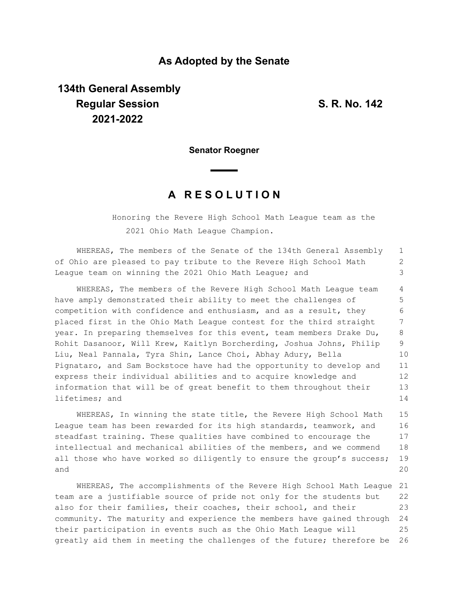## **As Adopted by the Senate**

## **134th General Assembly Regular Session S. R. No. 142 2021-2022**

**Senator Roegner**

## **A R E S O L U T I O N**

Honoring the Revere High School Math League team as the 2021 Ohio Math League Champion.

WHEREAS, The members of the Senate of the 134th General Assembly of Ohio are pleased to pay tribute to the Revere High School Math League team on winning the 2021 Ohio Math League; and 1 2 3

WHEREAS, The members of the Revere High School Math League team have amply demonstrated their ability to meet the challenges of competition with confidence and enthusiasm, and as a result, they placed first in the Ohio Math League contest for the third straight year. In preparing themselves for this event, team members Drake Du, Rohit Dasanoor, Will Krew, Kaitlyn Borcherding, Joshua Johns, Philip Liu, Neal Pannala, Tyra Shin, Lance Choi, Abhay Adury, Bella Pignataro, and Sam Bockstoce have had the opportunity to develop and express their individual abilities and to acquire knowledge and information that will be of great benefit to them throughout their lifetimes; and 4 5 6 7 8 9 10 11 12 13 14

WHEREAS, In winning the state title, the Revere High School Math League team has been rewarded for its high standards, teamwork, and steadfast training. These qualities have combined to encourage the intellectual and mechanical abilities of the members, and we commend all those who have worked so diligently to ensure the group's success; and 15 16 17 18 19  $20$ 

WHEREAS, The accomplishments of the Revere High School Math League 21 team are a justifiable source of pride not only for the students but also for their families, their coaches, their school, and their community. The maturity and experience the members have gained through 24 their participation in events such as the Ohio Math League will greatly aid them in meeting the challenges of the future; therefore be 22 23 25 26